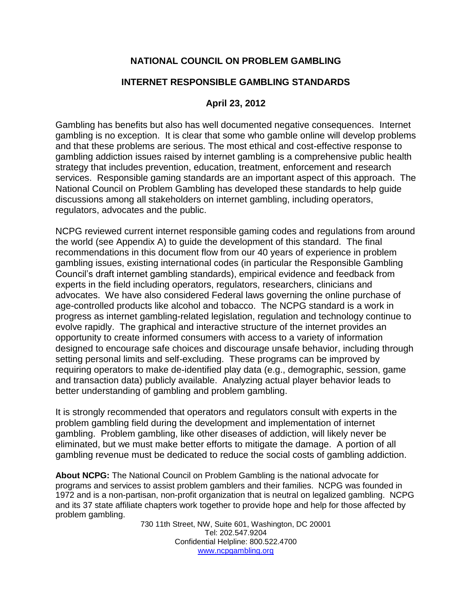# **NATIONAL COUNCIL ON PROBLEM GAMBLING**

## **INTERNET RESPONSIBLE GAMBLING STANDARDS**

### **April 23, 2012**

Gambling has benefits but also has well documented negative consequences. Internet gambling is no exception. It is clear that some who gamble online will develop problems and that these problems are serious. The most ethical and cost-effective response to gambling addiction issues raised by internet gambling is a comprehensive public health strategy that includes prevention, education, treatment, enforcement and research services. Responsible gaming standards are an important aspect of this approach. The National Council on Problem Gambling has developed these standards to help guide discussions among all stakeholders on internet gambling, including operators, regulators, advocates and the public.

NCPG reviewed current internet responsible gaming codes and regulations from around the world (see Appendix A) to guide the development of this standard. The final recommendations in this document flow from our 40 years of experience in problem gambling issues, existing international codes (in particular the Responsible Gambling Council's draft internet gambling standards), empirical evidence and feedback from experts in the field including operators, regulators, researchers, clinicians and advocates. We have also considered Federal laws governing the online purchase of age-controlled products like alcohol and tobacco. The NCPG standard is a work in progress as internet gambling-related legislation, regulation and technology continue to evolve rapidly. The graphical and interactive structure of the internet provides an opportunity to create informed consumers with access to a variety of information designed to encourage safe choices and discourage unsafe behavior, including through setting personal limits and self-excluding. These programs can be improved by requiring operators to make de-identified play data (e.g., demographic, session, game and transaction data) publicly available. Analyzing actual player behavior leads to better understanding of gambling and problem gambling.

It is strongly recommended that operators and regulators consult with experts in the problem gambling field during the development and implementation of internet gambling. Problem gambling, like other diseases of addiction, will likely never be eliminated, but we must make better efforts to mitigate the damage. A portion of all gambling revenue must be dedicated to reduce the social costs of gambling addiction.

**About NCPG:** The National Council on Problem Gambling is the national advocate for programs and services to assist problem gamblers and their families. NCPG was founded in 1972 and is a non-partisan, non-profit organization that is neutral on legalized gambling. NCPG and its 37 state affiliate chapters work together to provide hope and help for those affected by problem gambling.

730 11th Street, NW, Suite 601, Washington, DC 20001 Tel: 202.547.9204 Confidential Helpline: 800.522.4700 [www.ncpgambling.org](http://www.ncpgambling.org/)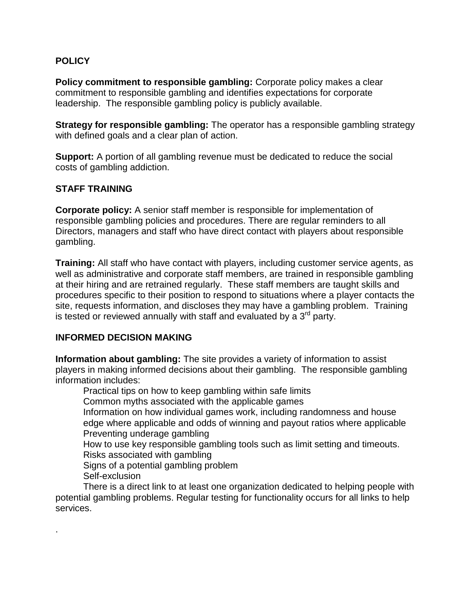## **POLICY**

**Policy commitment to responsible gambling:** Corporate policy makes a clear commitment to responsible gambling and identifies expectations for corporate leadership. The responsible gambling policy is publicly available.

**Strategy for responsible gambling:** The operator has a responsible gambling strategy with defined goals and a clear plan of action.

**Support:** A portion of all gambling revenue must be dedicated to reduce the social costs of gambling addiction.

### **STAFF TRAINING**

**Corporate policy:** A senior staff member is responsible for implementation of responsible gambling policies and procedures. There are regular reminders to all Directors, managers and staff who have direct contact with players about responsible gambling.

**Training:** All staff who have contact with players, including customer service agents, as well as administrative and corporate staff members, are trained in responsible gambling at their hiring and are retrained regularly. These staff members are taught skills and procedures specific to their position to respond to situations where a player contacts the site, requests information, and discloses they may have a gambling problem. Training is tested or reviewed annually with staff and evaluated by a  $3<sup>rd</sup>$  party.

### **INFORMED DECISION MAKING**

**Information about gambling:** The site provides a variety of information to assist players in making informed decisions about their gambling. The responsible gambling information includes:

Practical tips on how to keep gambling within safe limits Common myths associated with the applicable games Information on how individual games work, including randomness and house

edge where applicable and odds of winning and payout ratios where applicable Preventing underage gambling

How to use key responsible gambling tools such as limit setting and timeouts. Risks associated with gambling

Signs of a potential gambling problem

Self-exclusion

.

There is a direct link to at least one organization dedicated to helping people with potential gambling problems. Regular testing for functionality occurs for all links to help services.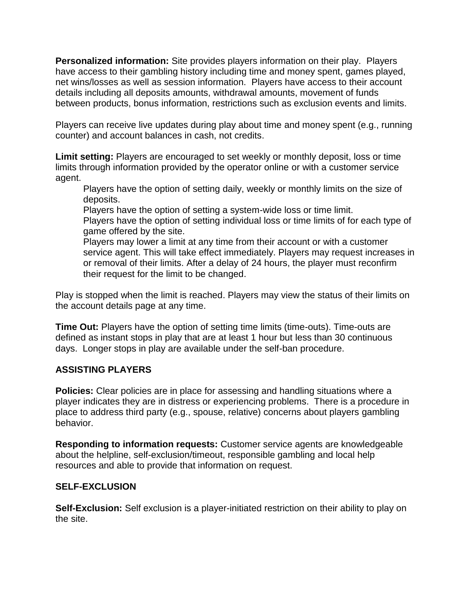**Personalized information:** Site provides players information on their play. Players have access to their gambling history including time and money spent, games played, net wins/losses as well as session information. Players have access to their account details including all deposits amounts, withdrawal amounts, movement of funds between products, bonus information, restrictions such as exclusion events and limits.

Players can receive live updates during play about time and money spent (e.g., running counter) and account balances in cash, not credits.

**Limit setting:** Players are encouraged to set weekly or monthly deposit, loss or time limits through information provided by the operator online or with a customer service agent.

Players have the option of setting daily, weekly or monthly limits on the size of deposits.

Players have the option of setting a system-wide loss or time limit.

Players have the option of setting individual loss or time limits of for each type of game offered by the site.

Players may lower a limit at any time from their account or with a customer service agent. This will take effect immediately. Players may request increases in or removal of their limits. After a delay of 24 hours, the player must reconfirm their request for the limit to be changed.

Play is stopped when the limit is reached. Players may view the status of their limits on the account details page at any time.

**Time Out:** Players have the option of setting time limits (time-outs). Time-outs are defined as instant stops in play that are at least 1 hour but less than 30 continuous days. Longer stops in play are available under the self-ban procedure.

# **ASSISTING PLAYERS**

**Policies:** Clear policies are in place for assessing and handling situations where a player indicates they are in distress or experiencing problems. There is a procedure in place to address third party (e.g., spouse, relative) concerns about players gambling behavior.

**Responding to information requests:** Customer service agents are knowledgeable about the helpline, self-exclusion/timeout, responsible gambling and local help resources and able to provide that information on request.

# **SELF-EXCLUSION**

**Self-Exclusion:** Self exclusion is a player-initiated restriction on their ability to play on the site.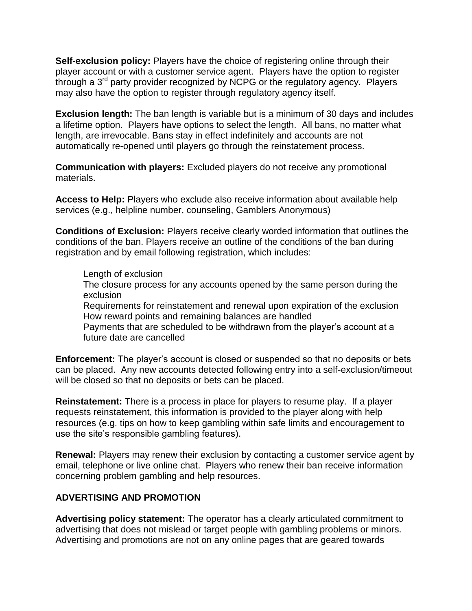**Self-exclusion policy:** Players have the choice of registering online through their player account or with a customer service agent. Players have the option to register through a 3rd party provider recognized by NCPG or the regulatory agency. Players may also have the option to register through regulatory agency itself.

**Exclusion length:** The ban length is variable but is a minimum of 30 days and includes a lifetime option. Players have options to select the length. All bans, no matter what length, are irrevocable. Bans stay in effect indefinitely and accounts are not automatically re-opened until players go through the reinstatement process.

**Communication with players:** Excluded players do not receive any promotional materials.

**Access to Help:** Players who exclude also receive information about available help services (e.g., helpline number, counseling, Gamblers Anonymous)

**Conditions of Exclusion:** Players receive clearly worded information that outlines the conditions of the ban. Players receive an outline of the conditions of the ban during registration and by email following registration, which includes:

#### Length of exclusion

The closure process for any accounts opened by the same person during the exclusion

Requirements for reinstatement and renewal upon expiration of the exclusion How reward points and remaining balances are handled

Payments that are scheduled to be withdrawn from the player's account at a future date are cancelled

**Enforcement:** The player's account is closed or suspended so that no deposits or bets can be placed. Any new accounts detected following entry into a self-exclusion/timeout will be closed so that no deposits or bets can be placed.

**Reinstatement:** There is a process in place for players to resume play. If a player requests reinstatement, this information is provided to the player along with help resources (e.g. tips on how to keep gambling within safe limits and encouragement to use the site's responsible gambling features).

**Renewal:** Players may renew their exclusion by contacting a customer service agent by email, telephone or live online chat. Players who renew their ban receive information concerning problem gambling and help resources.

### **ADVERTISING AND PROMOTION**

**Advertising policy statement:** The operator has a clearly articulated commitment to advertising that does not mislead or target people with gambling problems or minors. Advertising and promotions are not on any online pages that are geared towards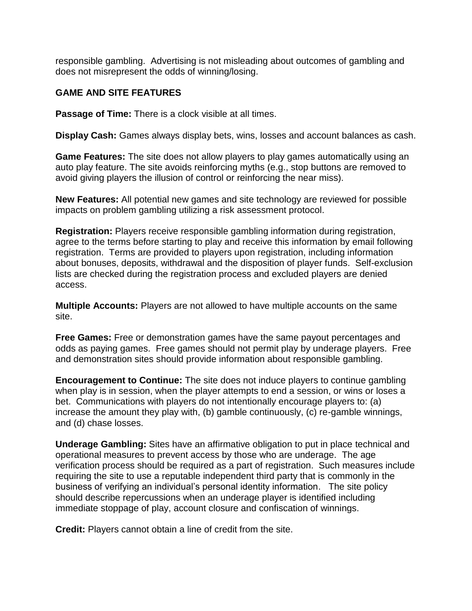responsible gambling. Advertising is not misleading about outcomes of gambling and does not misrepresent the odds of winning/losing.

## **GAME AND SITE FEATURES**

**Passage of Time:** There is a clock visible at all times.

**Display Cash:** Games always display bets, wins, losses and account balances as cash.

**Game Features:** The site does not allow players to play games automatically using an auto play feature. The site avoids reinforcing myths (e.g., stop buttons are removed to avoid giving players the illusion of control or reinforcing the near miss).

**New Features:** All potential new games and site technology are reviewed for possible impacts on problem gambling utilizing a risk assessment protocol.

**Registration:** Players receive responsible gambling information during registration, agree to the terms before starting to play and receive this information by email following registration. Terms are provided to players upon registration, including information about bonuses, deposits, withdrawal and the disposition of player funds. Self-exclusion lists are checked during the registration process and excluded players are denied access.

**Multiple Accounts:** Players are not allowed to have multiple accounts on the same site.

**Free Games:** Free or demonstration games have the same payout percentages and odds as paying games. Free games should not permit play by underage players. Free and demonstration sites should provide information about responsible gambling.

**Encouragement to Continue:** The site does not induce players to continue gambling when play is in session, when the player attempts to end a session, or wins or loses a bet. Communications with players do not intentionally encourage players to: (a) increase the amount they play with, (b) gamble continuously, (c) re-gamble winnings, and (d) chase losses.

**Underage Gambling:** Sites have an affirmative obligation to put in place technical and operational measures to prevent access by those who are underage. The age verification process should be required as a part of registration. Such measures include requiring the site to use a reputable independent third party that is commonly in the business of verifying an individual's personal identity information. The site policy should describe repercussions when an underage player is identified including immediate stoppage of play, account closure and confiscation of winnings.

**Credit:** Players cannot obtain a line of credit from the site.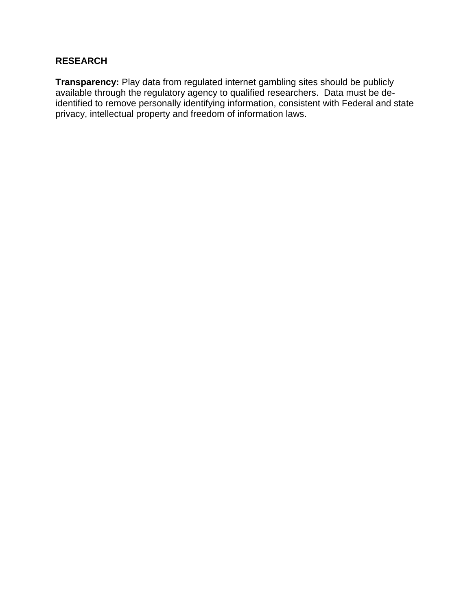# **RESEARCH**

**Transparency:** Play data from regulated internet gambling sites should be publicly available through the regulatory agency to qualified researchers. Data must be deidentified to remove personally identifying information, consistent with Federal and state privacy, intellectual property and freedom of information laws.